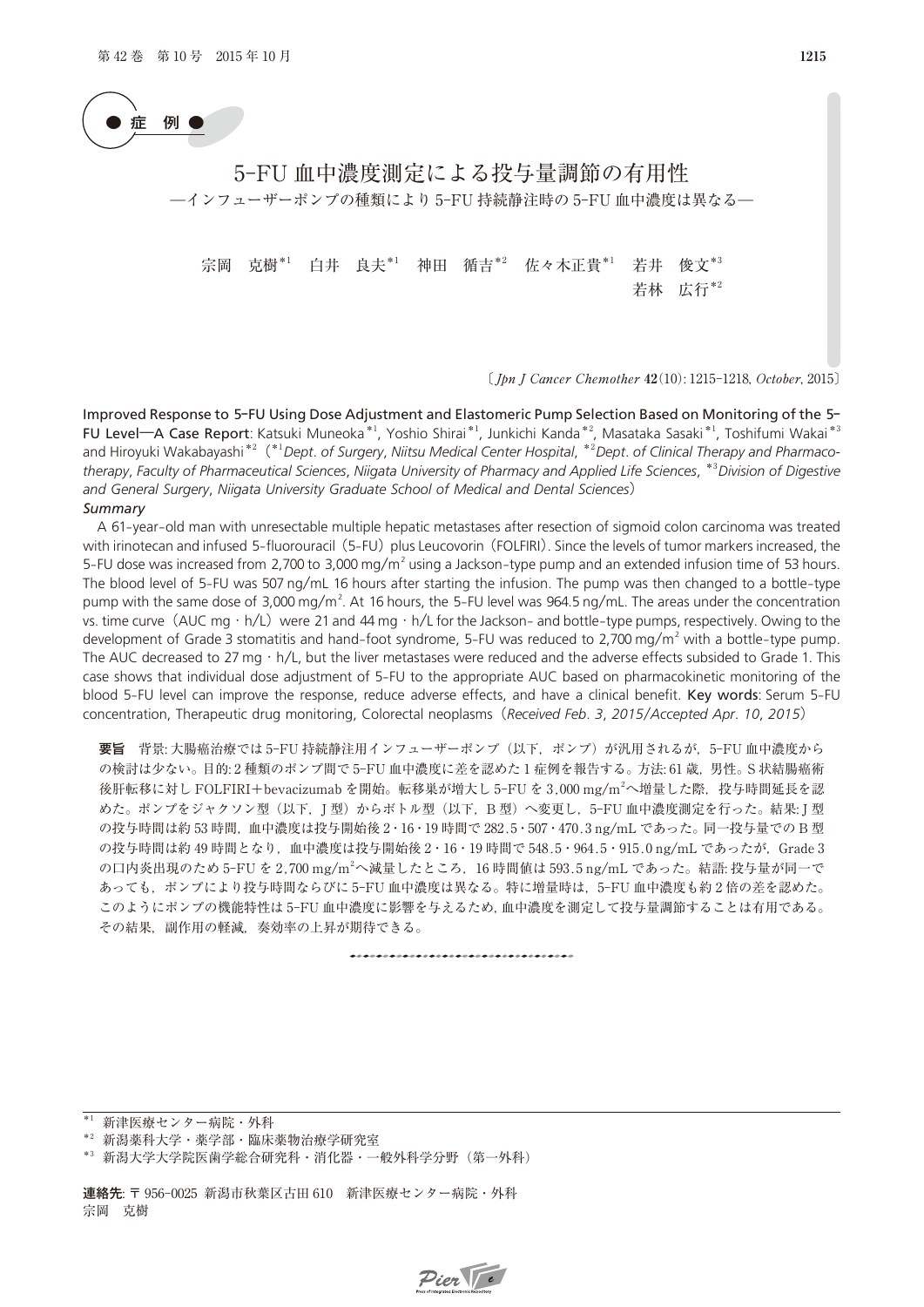

# 5-FU 血中濃度測定による投与量調節の有用性 ―インフューザーポンプの種類により 5-FU 持続静注時の 5-FU 血中濃度は異なる―

宗岡 克樹\*1 白井 良夫\*1 神田 循吉\*2 佐々木正貴\*1 若井 俊文\*3 若林 広行\*2

〔 Jpn J Cancer Chemother **42**10): 1215-1218, October, 2015〕

Improved Response to 5**-**FU Using Dose Adjustment and Elastomeric Pump Selection Based on Monitoring of the 5**-** FU Level**―**A Case Report: Katsuki Muneoka\*1, Yoshio Shirai\*1, Junkichi Kanda\*2, Masataka Sasaki\*1, Toshifumi Wakai\*3 and Hiroyuki Wakabayashi\*2(\*1*Dept*. *of Surgery*, *Niitsu Medical Center Hospital*, \*2*Dept*. *of Clinical Therapy and Pharmaco*therapy, Faculty of Pharmaceutical Sciences, Niigata University of Pharmacy and Applied Life Sciences, \*<sup>3</sup>Division of Digestive<br>and General Surgery, Niigata University Graduate School of Medical and Dental Sciences)<br>Summa *and General Surgery*, *Niigata University Graduate School of Medical and Dental Sciences*) *Summary*

and General Surgery, Niigata University Graduate School of Medical and Dental Sciences)<br>
Summary<br>
A 61-year-old man with unresectable multiple hepatic metastases after resection of sigmoid colon carcinoma was treated<br>
with **Summary**<br>
5-FU dose was increased from 2,700 to 3,000 mg/m<sup>2</sup> using a Jackson-type pump and an extended infusion time of 53 hours.<br>
5-FU dose was increased from 2,700 to 3,000 mg/m<sup>2</sup> using a Jackson-type pump and an ext A 61-year-old man with unresectable multiple hepatic metastases after resection of sigmoid colon carcinoma was treated<br>with irinotecan and infused 5-fluorouracil (5-FU) plus Leucovorin (FOLFIRI). Since the levels of tumor with irinotecan and infused 5-fluorouracil (5-FU) plus Leucovorin (FOLFIRI). Since the levels of tumor markers increased, the 5-FU dose was increased from 2,700 to 3,000 mg/m<sup>2</sup> using a Jackson-type pump and an extended i 5-FU dose was increased from 2,700 to 3,000 mg/m<sup>2</sup> using a Jackson-type pump and an extended infusion time of 53 hours.<br>The blood level of 5-FU was 507 ng/mL 16 hours after starting the infusion. The pump was then change The blood level of 5-FU was 507 ng/mL 16 hours after starting the infusion. The pump was then changed to a bottle-type pump with the same dose of 3,000 mg/m<sup>2</sup>. At 16 hours, the 5-FU level was 964.5 ng/mL. The areas under The AUC decreased to 27 mg  $\cdot$  h/L, but the liver metastases were reduced and the adverse effects subsided to Grade 1. This case shows that individual dose adjustment of 5-FU to the ackson- and bottle-type pumps, respectively. Owing to the development of Grade 3 stomatitis and hand-foot syndrome, 5-FU was reduced to 2,700 mg/m<sup>2</sup> with a bottle development of Grade 3 stomatitis and hand-foot syndrome, 5-FU was reduced to 2,700 mg/m<sup>2</sup> with a bottle-type pump.<br>The AUC decreased to 27 mg · h/L, but the liver metastases were reduced and the adverse effects subsided concentration, Therapeutic drug monitoring, Colorectal neoplasms(*Received Feb*. *3*, *2015*/*Accepted Apr*. *10*, *2015*)

要旨 背景: 大腸癌治療では 5-FU 持続静注用インフューザーポンプ(以下,ポンプ)が汎用されるが,5-FU 血中濃度から の検討は少ない。目的: 2種類のポンプ間で 5-FU 血中濃度に差を認めた1症例を報告する。方法: 61 歳,男性。S状結腸癌術 後肝転移に対し FOLFIRI+bevacizumab を開始。転移巣が増大し 5-FU を 3.000 mg/m<sup>2</sup>へ増量した際, 投与時間延長を認 めた。ポンプをジャクソン型(以下, I型)からボトル型(以下, B 型)へ変更し, 5-FU 血中濃度測定を行った。結果: I 型 の投与時間は約 53 時間,血中濃度は投与開始後 2·16·19 時間で 282.5·507·470.3 ng/mL であった。同一投与量での B 型 の投与時間は約 49 時間となり, 血中濃度は投与開始後 2・16・19 時間で 548.5・964.5・915.0 ng/mL であったが, Grade 3 の口内炎出現のため 5-FU を 2.700 mg/m<sup>2</sup>へ減量したところ, 16 時間値は 593.5 ng/mL であった。結語: 投与量が同一で あっても,ポンプにより投与時間ならびに 5-FU 血中濃度は異なる。特に増量時は,5-FU 血中濃度も約 2 倍の差を認めた。 このようにポンプの機能特性は 5-FU 血中濃度に影響を与えるため,血中濃度を測定して投与量調節することは有用である。 その結果,副作用の軽減,奏効率の上昇が期待できる。

\*1 新津医療センター病院・外科

連絡先: 〒 956-0025 新潟市秋葉区古田 610 新津医療センター病院・外科 宗岡 克樹



<sup>\*2</sup> 新潟薬科大学・薬学部・臨床薬物治療学研究室

<sup>\*3</sup> 新潟大学大学院医歯学総合研究科·消化器·一般外科学分野 (第一外科)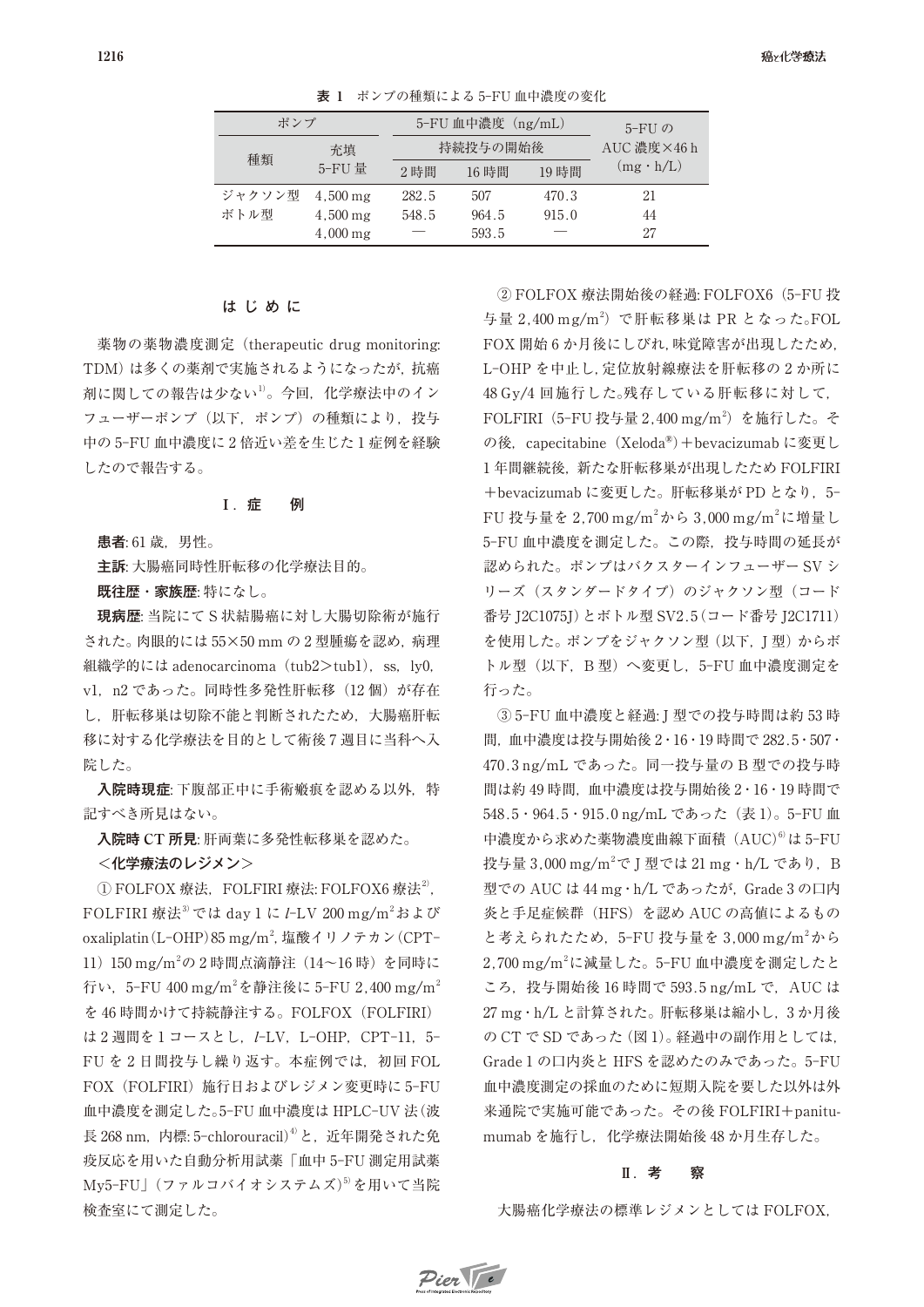| ポンプ    |                       | 5-FU 血中濃度(ng/mL) |       |       | 5- $FI$ $\oslash$ |
|--------|-----------------------|------------------|-------|-------|-------------------|
| 種類     | 充填                    | 持続投与の開始後         |       |       | AUC 濃度×46 h       |
|        | 5-FU 量                | 2時間              | 16時間  | 19 時間 | $(mg \cdot h/L)$  |
| ジャクソン型 | $4,500 \,\mathrm{mg}$ | 282.5            | 507   | 470.3 | 21                |
| ボトル型   | $4,500 \,\mathrm{mg}$ | 548.5            | 964.5 | 915.0 | 44                |
|        | $4,000 \,\mathrm{mg}$ |                  | 593.5 |       | 27                |

表 **1** ポンプの種類による 5-FU 血中濃度の変化

## はじめに

薬物の薬物濃度測定(therapeutic drug monitoring: TDM)は多くの薬剤で実施されるようになったが,抗癌 剤に関しての報告は少ない1)。今回, 化学療法中のイン フューザーポンプ (以下,ポンプ)の種類により、投与 中の 5-FU 血中濃度に 2 倍近い差を生じた 1 症例を経験 したので報告する。

### **Ⅰ.**症 例

患者: 61 歳,男性。

主訴: 大腸癌同時性肝転移の化学療法目的。

既往歴・家族歴: 特になし。

現病歴: 当院にて S 状結腸癌に対し大腸切除術が施行 された。肉眼的には 55**×**50 mm の 2 型腫瘍を認め,病理 組織学的には adenocarcinoma (tub2>tub1), ss, ly0, v1, n2 であった。同時性多発性肝転移 (12個) が存在 し,肝転移巣は切除不能と判断されたため,大腸癌肝転 移に対する化学療法を目的として術後 7 週目に当科へ入 院した。

入院時現症: 下腹部正中に手術瘢痕を認める以外,特 記すべき所見はない。

入院時 **CT** 所見: 肝両葉に多発性転移巣を認めた。

**<**化学療法のレジメン**>**

 $\Omega$  FOLFOX 療法, FOLFIRI 療法: FOLFOX6 療法<sup>2</sup>, FOLFIRI 療法<sup>3)</sup> では day 1 に I-LV 200 mg/m<sup>2</sup>および oxaliplatin (L-OHP) 85 mg/m<sup>2</sup>, 塩酸イリノテカン (CPT-11) 150 mg/m<sup>2</sup>の2時間点滴静注 (14~16時)を同時に 行い,5-FU 400 mg/m<sup>2</sup>を静注後に 5-FU 2,400 mg/m<sup>2</sup> を 46 時間かけて持続静注する。FOLFOX(FOLFIRI) は2週間を1コースとし, I-LV, L-OHP, CPT-11, 5-FU を 2 日間投与し繰り返す。本症例では、初回 FOL FOX (FOLFIRI) 施行日およびレジメン変更時に 5-FU 血中濃度を測定した。5-FU 血中濃度は HPLC-UV 法(波 長 268 nm, 内標: 5-chlorouracil)<sup>4)</sup>と,近年開発された免 疫反応を用いた自動分析用試薬「血中 5-FU 測定用試薬 My5-FU」(ファルコバイオシステムズ)<sup>5)</sup>を用いて当院 検査室にて測定した。

② FOLFOX 療法開始後の経過: FOLFOX6(5-FU 投 与量 2,400 mg/m<sup>2</sup>) で肝転移巣は PR となった。FOL FOX 開始 6 か月後にしびれ,味覚障害が出現したため, L-OHP を中止し,定位放射線療法を肝転移の 2 か所に 48 Gy/4 回施行した。残存している肝転移に対して, FOLFIRI (5-FU 投与量 2,400 mg/m<sup>2</sup>) を施行した。そ の後, capecitabine (Xeloda®) + bevacizumab に変更し 1年間継続後,新たな肝転移巣が出現したため FOLFIRI **+**bevacizumab に変更した。肝転移巣が PD となり,5- FU 投与量を 2,700 mg/m<sup>2</sup>から 3,000 mg/m<sup>2</sup>に増量し 5-FU 血中濃度を測定した。この際,投与時間の延長が 認められた。ポンプはバクスターインフューザー SV シ リーズ (スタンダードタイプ) のジャクソン型 (コード 番号 J2C1075J)とボトル型 SV2.5(コード番号 J2C1711) を使用した。ポンプをジャクソン型(以下, J型)からボ トル型(以下,B 型)へ変更し,5-FU 血中濃度測定を 行った。

③ 5-FU 血中濃度と経過: J 型での投与時間は約 53 時 間,血中濃度は投与開始後 2・16・19 時間で 282.5・507・ 470.3 ng/mL であった。同一投与量の B 型での投与時 間は約 49 時間,血中濃度は投与開始後 2・16・19 時間で 548.5・964.5・915.0 ng/mL であった(表 1)。5-FU 血 中濃度から求めた薬物濃度曲線下面積 (AUC)<sup>6)</sup>は 5-FU 投与量 3,000 mg/m<sup>2</sup>で J 型では 21 mg · h/L であり, B 型での AUC は 44 mg · h/L であったが, Grade 3 の口内 炎と手足症候群(HFS)を認め AUC の高値によるもの と考えられたため,5-FU 投与量を 3,000 mg/m2 から 2.700 mg/m<sup>2</sup>に減量した。5-FU 血中濃度を測定したと ころ,投与開始後 16 時間で 593.5 ng/mL で,AUC は 27 mg・h/L と計算された。肝転移巣は縮小し,3 か月後 の CT で SD であった (図 1)。経過中の副作用としては, Grade 1 の口内炎と HFS を認めたのみであった。5-FU 血中濃度測定の採血のために短期入院を要した以外は外 来通院で実施可能であった。その後 FOLFIRI**+**panitumumab を施行し、化学療法開始後 48 か月生存した。

## **Ⅱ.**考 察

大腸癌化学療法の標準レジメンとしては FOLFOX,

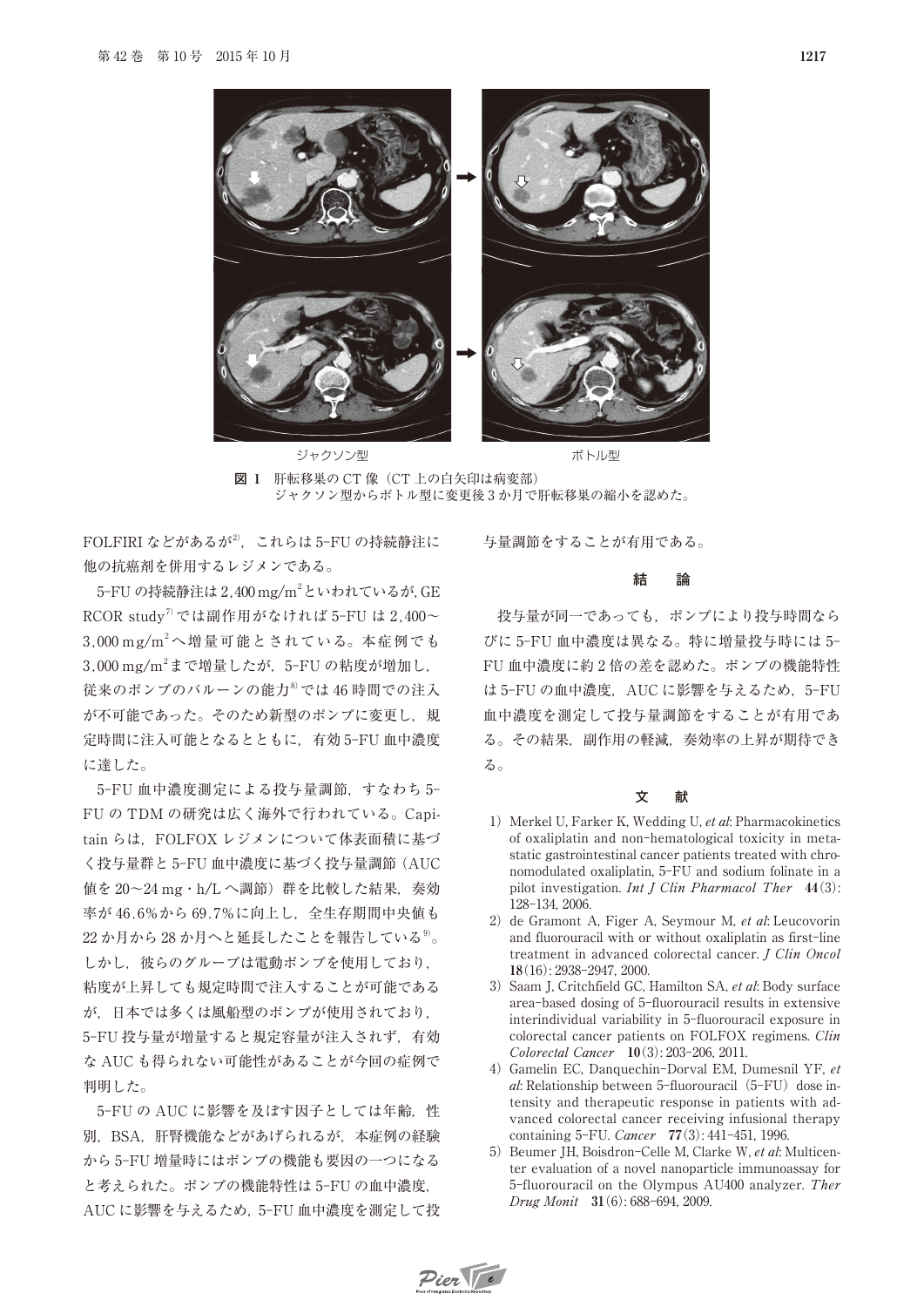

図 **1** 肝転移巣の CT 像(CT 上の白矢印は病変部) ジャクソン型からボトル型に変更後 3 か月で肝転移巣の縮小を認めた。

FOLFIRI などがあるが2). これらは 5-FU の持続静注に 他の抗癌剤を併用するレジメンである。

5-FU の持続静注は 2,400 mg/m2 といわれているが,GE RCOR study<sup>7</sup>では副作用がなければ 5-FU は 2.400~ 3,000 mg/m2 へ増量可能とされている。本症例でも  $3,000$  mg/m<sup>2</sup>まで増量したが, 5-FU の粘度が増加し, 従来のポンプのバルーンの能力8)では 46 時間での注入

が不可能であった。そのため新型のポンプに変更し,規 定時間に注入可能となるとともに,有効 5-FU 血中濃度 に達した。

5-FU 血中濃度測定による投与量調節,すなわち 5- FU の TDM の研究は広く海外で行われている。Capitain らは、FOLFOX レジメンについて体表面積に基づ く投与量群と 5-FU 血中濃度に基づく投与量調節(AUC 値を 20〜24 mg・h/L へ調節)群を比較した結果,奏効 率が 46.6%から 69.7%に向上し,全生存期間中央値も 22 か月から 28 か月へと延長したことを報告している<sup>9)</sup>。 しかし、彼らのグループは電動ポンプを使用しており. 粘度が上昇しても規定時間で注入することが可能である が,日本では多くは風船型のポンプが使用されており, 5-FU 投与量が増量すると規定容量が注入されず,有効 な AUC も得られない可能性があることが今回の症例で 判明した。

5-FUの AUC に影響を及ぼす因子としては年齢, 性 別,BSA,肝腎機能などがあげられるが,本症例の経験 から 5-FU 増量時にはポンプの機能も要因の一つになる と考えられた。ポンプの機能特性は 5-FU の血中濃度, AUC に影響を与えるため,5-FU 血中濃度を測定して投

# 与量調節をすることが有用である。

#### 結 論

投与量が同一であっても,ポンプにより投与時間なら びに 5-FU 血中濃度は異なる。特に増量投与時には 5- FU 血中濃度に約 2 倍の差を認めた。ポンプの機能特性 は 5-FU の血中濃度, AUC に影響を与えるため, 5-FU 血中濃度を測定して投与量調節をすることが有用であ る。その結果,副作用の軽減,奏効率の上昇が期待でき る。

#### 文 献

- 1) Merkel U, Farker K, Wedding U, et al: Pharmacokinetics of oxaliplatin and non-hematological toxicity in metastatic gastrointestinal cancer patients treated with chronomodulated oxaliplatin, 5-FU and sodium folinate in a pilot investigation. Int J Clin Pharmacol Ther **44**(3): 128-134, 2006.
- 2) de Gramont A, Figer A, Seymour M, et al: Leucovorin and fluorouracil with or without oxaliplatin as first-line treatment in advanced colorectal cancer. J Clin Oncol **18**(16): 2938-2947, 2000.
- 3) Saam J, Critchfield GC, Hamilton SA, et al: Body surface area-based dosing of 5-fluorouracil results in extensive interindividual variability in 5-fluorouracil exposure in colorectal cancer patients on FOLFOX regimens. Clin Colorectal Cancer **10**(3): 203-206, 2011.
- 4) Gamelin EC, Danquechin-Dorval EM, Dumesnil YF, et al: Relationship between 5-fluorouracil  $(5-FU)$  dose intensity and therapeutic response in patients with advanced colorectal cancer receiving infusional therapy containing 5-FU. Cancer **77**(3): 441-451, 1996.
- 5) Beumer JH, Boisdron-Celle M, Clarke W, et al: Multicenter evaluation of a novel nanoparticle immunoassay for 5-fluorouracil on the Olympus AU400 analyzer. Ther Drug Monit **31**(6): 688-694, 2009.